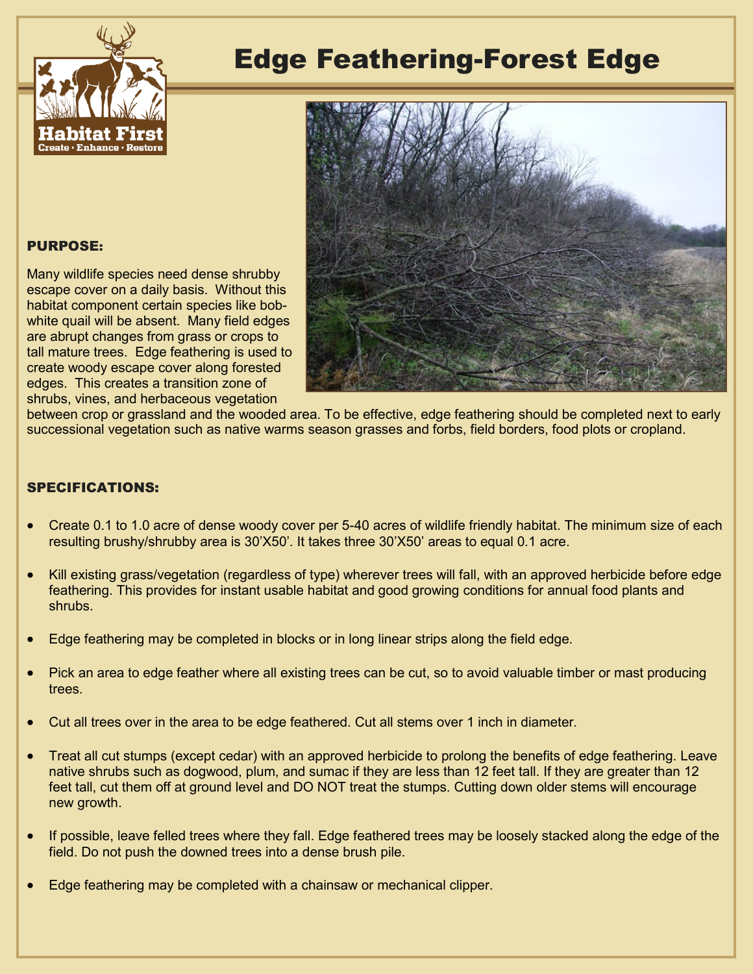

## Edge Feathering-Forest Edge



PURPOSE:

Many wildlife species need dense shrubby escape cover on a daily basis. Without this habitat component certain species like bobwhite quail will be absent. Many field edges are abrupt changes from grass or crops to tall mature trees. Edge feathering is used to create woody escape cover along forested edges. This creates a transition zone of shrubs, vines, and herbaceous vegetation

between crop or grassland and the wooded area. To be effective, edge feathering should be completed next to early successional vegetation such as native warms season grasses and forbs, field borders, food plots or cropland.

## SPECIFICATIONS:

- Create 0.1 to 1.0 acre of dense woody cover per 5-40 acres of wildlife friendly habitat. The minimum size of each resulting brushy/shrubby area is 30'X50'. It takes three 30'X50' areas to equal 0.1 acre.
- Kill existing grass/vegetation (regardless of type) wherever trees will fall, with an approved herbicide before edge feathering. This provides for instant usable habitat and good growing conditions for annual food plants and shrubs.
- Edge feathering may be completed in blocks or in long linear strips along the field edge.
- Pick an area to edge feather where all existing trees can be cut, so to avoid valuable timber or mast producing trees.
- Cut all trees over in the area to be edge feathered. Cut all stems over 1 inch in diameter.
- Treat all cut stumps (except cedar) with an approved herbicide to prolong the benefits of edge feathering. Leave native shrubs such as dogwood, plum, and sumac if they are less than 12 feet tall. If they are greater than 12 feet tall, cut them off at ground level and DO NOT treat the stumps. Cutting down older stems will encourage new growth.
- If possible, leave felled trees where they fall. Edge feathered trees may be loosely stacked along the edge of the field. Do not push the downed trees into a dense brush pile.
- Edge feathering may be completed with a chainsaw or mechanical clipper.